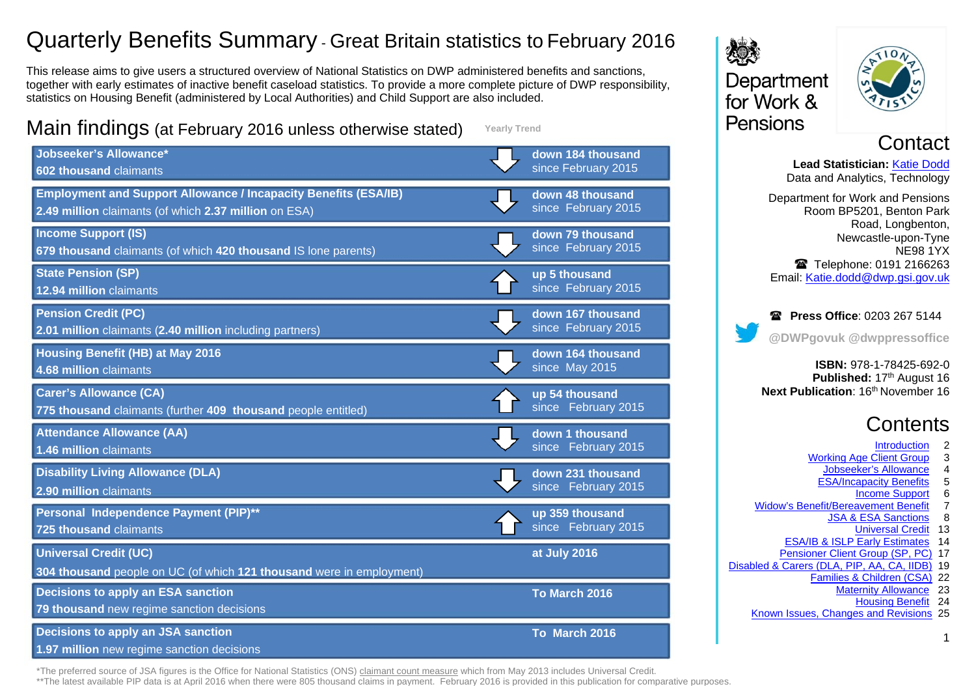# Quarterly Benefits Summary - Great Britain statistics to February 2016

This release aims to give users a structured overview of National Statistics on DWP administered benefits and sanctions, together with early estimates of inactive benefit caseload statistics. To provide a more complete picture of DWP responsibility, statistics on Housing Benefit (administered by Local Authorities) and Child Support are also included.

# Main findings (at February 2016 unless otherwise stated)

**Yearly Trend**



Department for Work & Pensions



# **Contact**

**Lead Statistician:** [Katie Dodd](#page-24-0) Data and Analytics, Technology Department for Work and Pensions Room BP5201, Benton Park Road, Longbenton, Newcastle-upon-Tyne NE98 1YX Telephone: 0191 2166263 Email: [Katie.dodd@dwp.gsi.gov.uk](mailto:katie.dodd@dwp.gsi.gov.uk)

**Press Office: 0203 267 5144 @DWPgovuk @dwppressoffice**

**ISBN:** 978-1-78425-692-0 **Published: 17th August 16 Next Publication: 16th November 16** 

# **Contents**

- **Introduction**
- [Working Age Client Group](#page-2-0) 3<br>Jobseeker's Allowance 4
	- [Jobseeker's Allowance](#page-3-0) 4
	- [ESA/Incapacity Benefits](#page-4-0) 5
		- [Income Support](#page-5-0) 6
- [Widow's Benefit/Bereavement Benefit](#page-6-0) 7
	- [JSA & ESA Sanctions](#page-7-0) 8
		- [Universal Credit](#page-12-0) 13
	- [ESA/IB & ISLP Early Estimates](#page-13-0) 14
- [Pensioner Client Group \(SP, PC\)](#page-16-0) 17
- [Disabled & Carers \(DLA, PIP, AA, CA,](#page-18-0) IIDB) 19
	- [Families & Children \(CSA\)](#page-21-0) 22
		- [Maternity Allowance](#page-22-0) 23
			- [Housing Benefit](#page-23-0) 24

1

[Known Issues, Changes and Revisions](#page-24-0) 25

\*The preferred source of JSA figures is the Office for National Statistics (ONS) [claimant count measure](https://www.nomisweb.co.uk/query/select/getdatasetbytheme.asp?theme=72) which from May 2013 includes Universal Credit.

\*\*The latest available [PIP](https://www.gov.uk/government/collections/personal-independence-payment-statistics) data is at April 2016 when there were 805 thousand claims in payment. February 2016 is provided in this publication for comparative purposes.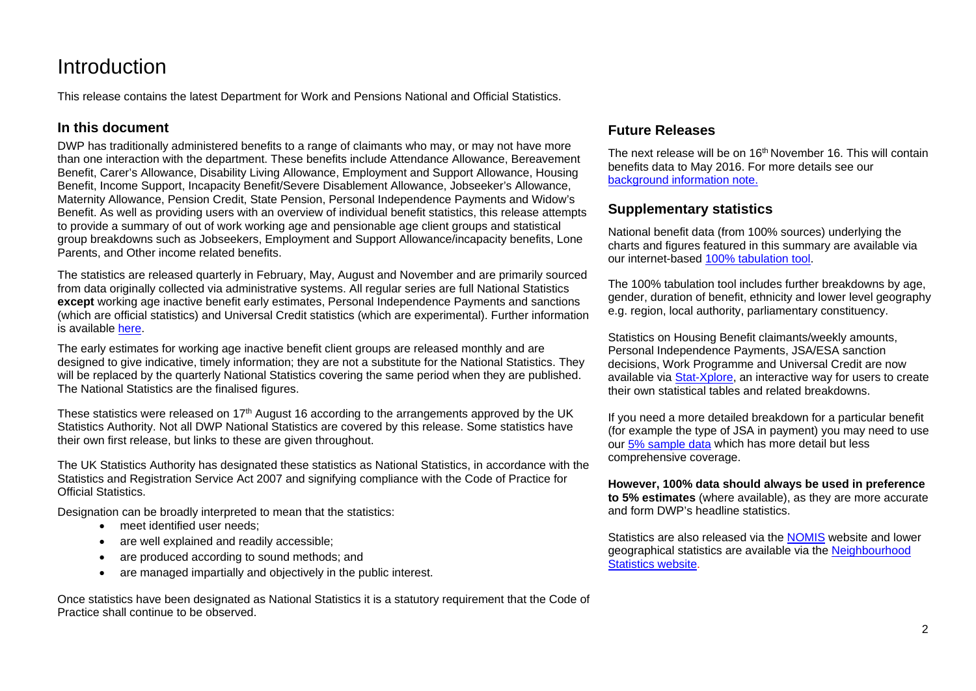# <span id="page-1-0"></span>**Introduction**

This release contains the latest Department for Work and Pensions National and Official Statistics.

### **In this document**

DWP has traditionally administered benefits to a range of claimants who may, or may not have more than one interaction with the department. These benefits include Attendance Allowance, Bereavement Benefit, Carer's Allowance, Disability Living Allowance, Employment and Support Allowance, Housing Benefit, Income Support, Incapacity Benefit/Severe Disablement Allowance, Jobseeker's Allowance, Maternity Allowance, Pension Credit, State Pension, Personal Independence Payments and Widow's Benefit. As well as providing users with an overview of individual benefit statistics, this release attempts to provide a summary of out of work working age and pensionable age client groups and statistical group breakdowns such as Jobseekers, Employment and Support Allowance/incapacity benefits, Lone Parents, and Other income related benefits.

The statistics are released quarterly in February, May, August and November and are primarily sourced from data originally collected via administrative systems. All regular series are full National Statistics **except** working age inactive benefit early estimates, Personal Independence Payments and sanctions (which are official statistics) and Universal Credit statistics (which are experimental). Further information is available [here.](http://www.statisticsauthority.gov.uk/national-statistician/types-of-official-statistics)

The early estimates for working age inactive benefit client groups are released monthly and are designed to give indicative, timely information; they are not a substitute for the National Statistics. They will be replaced by the quarterly National Statistics covering the same period when they are published. The National Statistics are the finalised figures.

These statistics were released on  $17<sup>th</sup>$  August 16 according to the arrangements approved by the UK Statistics Authority. Not all DWP National Statistics are covered by this release. Some statistics have their own first release, but links to these are given throughout.

The UK Statistics Authority has designated these statistics as National Statistics, in accordance with the Statistics and Registration Service Act 2007 and signifying compliance with the Code of Practice for Official Statistics.

Designation can be broadly interpreted to mean that the statistics:

- meet identified user needs;
- are well explained and readily accessible:
- are produced according to sound methods; and
- are managed impartially and objectively in the public interest.

Once statistics have been designated as National Statistics it is a statutory requirement that the Code of Practice shall continue to be observed.

## **Future Releases**

The next release will be on 16<sup>th</sup> November 16. This will contain benefits data to May 2016. For more details see our [background information note.](https://www.gov.uk/government/statistics/dwp-statistical-summary-policies-and-statements)

### **Supplementary statistics**

National benefit data (from 100% sources) underlying the charts and figures featured in this summary are available via our internet-based [100% tabulation tool.](http://tabulation-tool.dwp.gov.uk/100pc/tabtool.html)

The 100% tabulation tool includes further breakdowns by age, gender, duration of benefit, ethnicity and lower level geography e.g. region, local authority, parliamentary constituency.

Statistics on Housing Benefit claimants/weekly amounts, Personal Independence Payments, JSA/ESA sanction decisions, Work Programme and Universal Credit are now available via [Stat-Xplore,](https://stat-xplore.dwp.gov.uk/) an interactive way for users to create their own statistical tables and related breakdowns.

If you need a more detailed breakdown for a particular benefit (for example the type of JSA in payment) you may need to use ou[r 5% sample data](http://tabulation-tool.dwp.gov.uk/5pc/tabtool.html) which has more detail but less comprehensive coverage.

**However, 100% data should always be used in preference to 5% estimates** (where available), as they are more accurate and form DWP's headline statistics.

Statistics are also released via the [NOMIS](https://www.nomisweb.co.uk/Default.asp) website and lower geographical statistics are available via the [Neighbourhood](http://tabulation-tool.dwp.gov.uk/NESS/page1.htm)  [Statistics website.](http://tabulation-tool.dwp.gov.uk/NESS/page1.htm)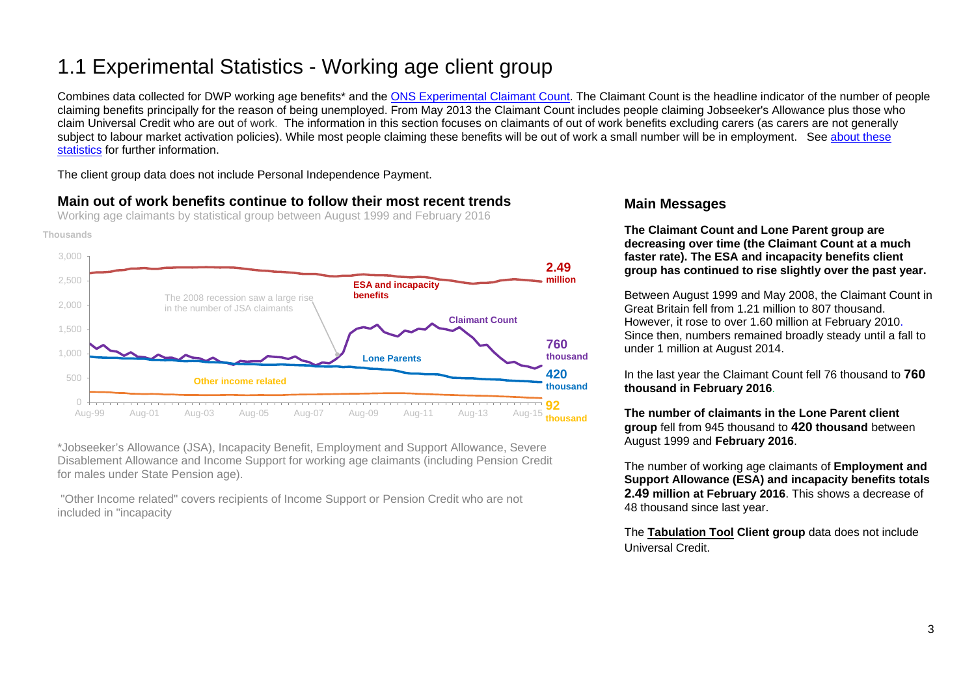# <span id="page-2-0"></span>1.1 Experimental Statistics - Working age client group

Combines data collected for DWP working age benefits\* and the [ONS Experimental Claimant Count.](https://www.nomisweb.co.uk/query/select/getdatasetbytheme.asp?theme=72) The Claimant Count is the headline indicator of the number of people claiming benefits principally for the reason of being unemployed. From May 2013 the Claimant Count includes people claiming Jobseeker's Allowance plus those who claim Universal Credit who are out of work. The information in this section focuses on claimants of out of work benefits excluding carers (as carers are not generally subject to labour market activation policies). While most people claiming these benefits will be out of work a small number will be in employment. See about these [statistics](#page-24-1) for further information.

The client group data does not include Personal Independence Payment.

## **Main out of work benefits continue to follow their most recent trends**

Working age claimants by statistical group between August 1999 and February 2016





\*Jobseeker's Allowance (JSA), Incapacity Benefit, Employment and Support Allowance, Severe Disablement Allowance and Income Support for working age claimants (including Pension Credit for males under State Pension age).

"Other Income related" covers recipients of Income Support or Pension Credit who are not included in "incapacity

### **Main Messages**

**The Claimant Count and Lone Parent group are decreasing over time (the Claimant Count at a much faster rate). The ESA and incapacity benefits client group has continued to rise slightly over the past year.**

Between August 1999 and May 2008, the Claimant Count in Great Britain fell from 1.21 million to 807 thousand. However, it rose to over 1.60 million at February 2010. Since then, numbers remained broadly steady until a fall to under 1 million at August 2014.

In the last year the Claimant Count fell 76 thousand to **760 thousand in February 2016**.

**The number of claimants in the Lone Parent client group** fell from 945 thousand to **420 thousand** between August 1999 and **February 2016**.

The number of working age claimants of **Employment and Support Allowance (ESA) and incapacity benefits totals 2.49 million at February 2016**. This shows a decrease of 48 thousand since last year.

The **[Tabulation](http://tabulation-tool.dwp.gov.uk/100pc/wa/ccdate/ccstatgp/a_carate_r_ccdate_c_ccstatgp.html) Tool Client group** data does not include Universal Credit.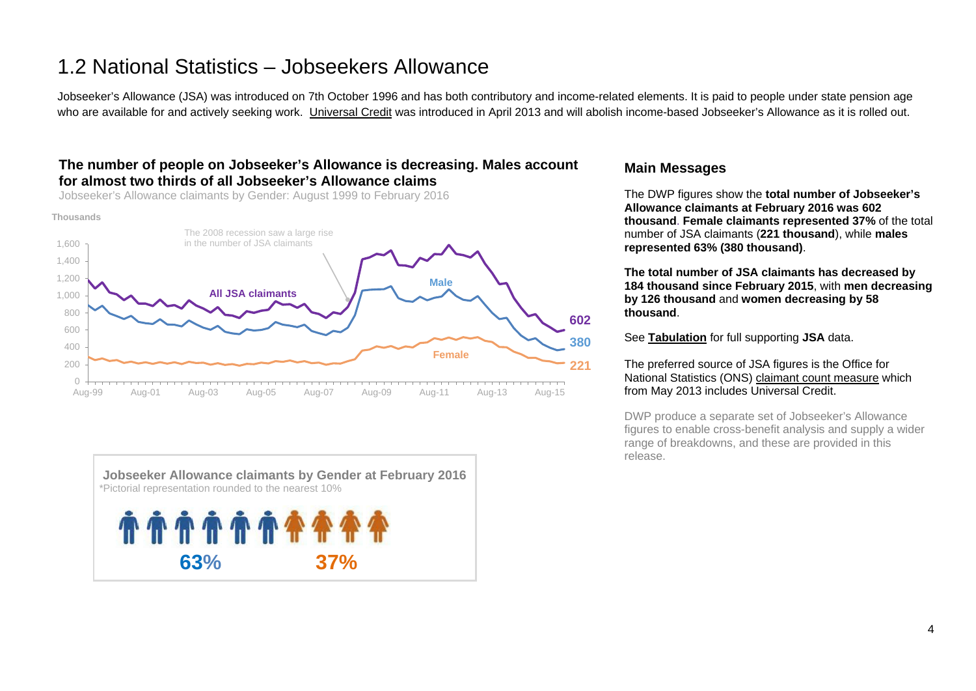# <span id="page-3-0"></span>1.2 National Statistics – Jobseekers Allowance

Jobseeker's Allowance (JSA) was introduced on 7th October 1996 and has both contributory and income-related elements. It is paid to people under state pension age who are available for and actively seeking work. [Universal Credit](https://www.gov.uk/government/collections/universal-credit-statistics) was introduced in April 2013 and will abolish income-based Jobseeker's Allowance as it is rolled out.

### **The number of people on Jobseeker's Allowance is decreasing. Males account for almost two thirds of all Jobseeker's Allowance claims**

Jobseeker's Allowance claimants by Gender: August 1999 to February 2016





#### **Main Messages**

The DWP figures show the **total number of Jobseeker's Allowance claimants at February 2016 was 602 thousand**. **Female claimants represented 37%** of the total number of JSA claimants (**221 thousand**), while **males represented 63% (380 thousand)**.

**The total number of JSA claimants has decreased by 184 thousand since February 2015**, with **men decreasing by 126 thousand** and **women decreasing by 58 thousand**.

See **[Tabulation](http://tabulation-tool.dwp.gov.uk/100pc/jsa/ccdate/ccsex/a_carate_r_ccdate_c_ccsex.html)** for full supporting **JSA** data.

#### The preferred source of JSA figures is the Office for National Statistics (ONS) [claimant count measure](https://www.nomisweb.co.uk/query/select/getdatasetbytheme.asp?theme=72) which from May 2013 includes Universal Credit.

DWP produce a separate set of Jobseeker's Allowance figures to enable cross-benefit analysis and supply a wider range of breakdowns, and these are provided in this release.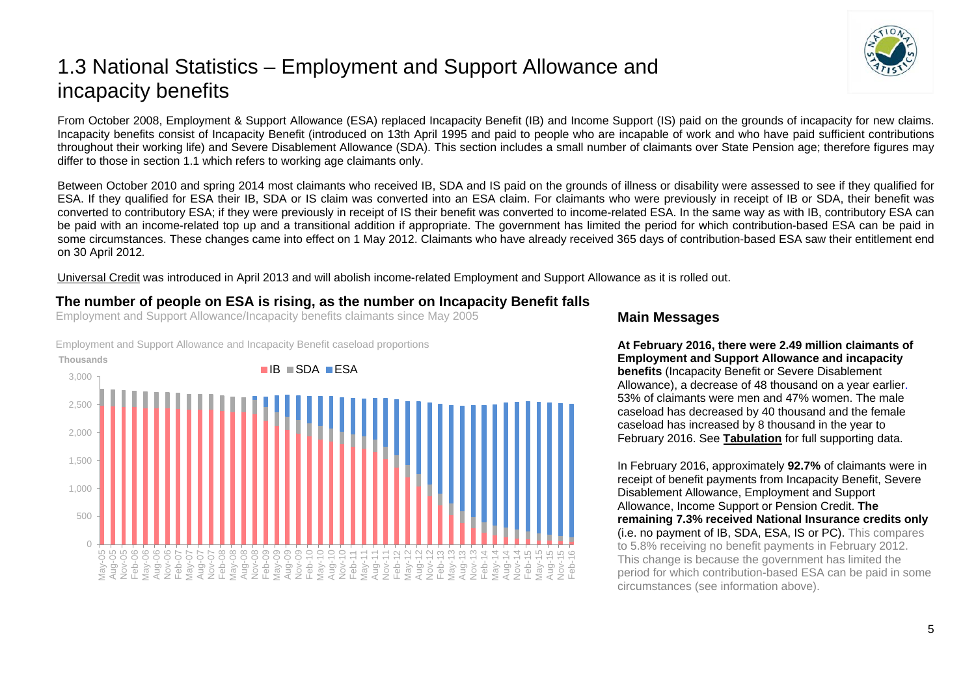# <span id="page-4-0"></span>1.3 National Statistics – Employment and Support Allowance and incapacity benefits

From October 2008, Employment & Support Allowance (ESA) replaced Incapacity Benefit (IB) and Income Support (IS) paid on the grounds of incapacity for new claims. Incapacity benefits consist of Incapacity Benefit (introduced on 13th April 1995 and paid to people who are incapable of work and who have paid sufficient contributions throughout their working life) and Severe Disablement Allowance (SDA). This section includes a small number of claimants over State Pension age; therefore figures may differ to those in section 1.1 which refers to working age claimants only.

Between October 2010 and spring 2014 most claimants who received IB, SDA and IS paid on the grounds of illness or disability were assessed to see if they qualified for ESA. If they qualified for ESA their IB, SDA or IS claim was converted into an ESA claim. For claimants who were previously in receipt of IB or SDA, their benefit was converted to contributory ESA; if they were previously in receipt of IS their benefit was converted to income-related ESA. In the same way as with IB, contributory ESA can be paid with an income-related top up and a transitional addition if appropriate. The government has limited the period for which contribution-based ESA can be paid in some circumstances. These changes came into effect on 1 May 2012. Claimants who have already received 365 days of contribution-based ESA saw their entitlement end on 30 April 2012*.* 

[Universal Credit](https://www.gov.uk/government/collections/universal-credit-statistics) was introduced in April 2013 and will abolish income-related Employment and Support Allowance as it is rolled out.

## **The number of people on ESA is rising, as the number on Incapacity Benefit falls**

Employment and Support Allowance/Incapacity benefits claimants since May 2005

Employment and Support Allowance and Incapacity Benefit caseload proportions



### **Main Messages**

**At February 2016, there were 2.49 million claimants of Employment and Support Allowance and incapacity benefits** (Incapacity Benefit or Severe Disablement Allowance), a decrease of 48 thousand on a year earlier. 53% of claimants were men and 47% women. The male caseload has decreased by 40 thousand and the female caseload has increased by 8 thousand in the year to February 2016. See **[Tabulation](http://tabulation-tool.dwp.gov.uk/100pc/tabtool.html)** for full supporting data.

In February 2016, approximately **92.7%** of claimants were in receipt of benefit payments from Incapacity Benefit, Severe Disablement Allowance, Employment and Support Allowance, Income Support or Pension Credit. **The remaining 7.3% received National Insurance credits only** (i.e. no payment of IB, SDA, ESA, IS or PC). This compares to 5.8% receiving no benefit payments in February 2012. This change is because the government has limited the period for which contribution-based ESA can be paid in some circumstances (see information above).

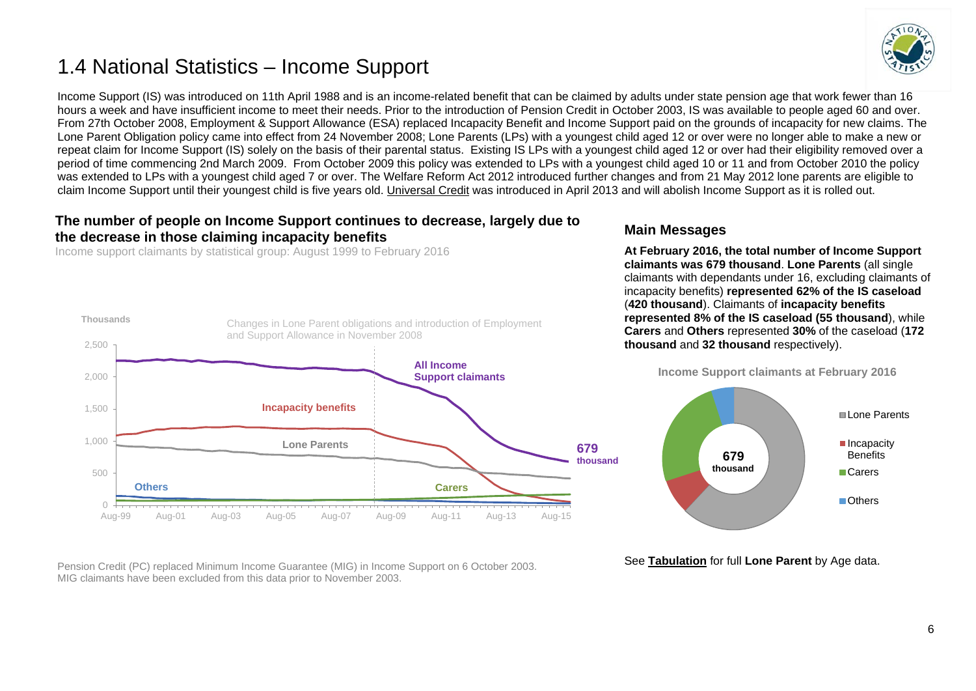# <span id="page-5-0"></span>1.4 National Statistics – Income Support



Income Support (IS) was introduced on 11th April 1988 and is an income-related benefit that can be claimed by adults under state pension age that work fewer than 16 hours a week and have insufficient income to meet their needs. Prior to the introduction of Pension Credit in October 2003, IS was available to people aged 60 and over. From 27th October 2008, Employment & Support Allowance (ESA) replaced Incapacity Benefit and Income Support paid on the grounds of incapacity for new claims. The Lone Parent Obligation policy came into effect from 24 November 2008; Lone Parents (LPs) with a youngest child aged 12 or over were no longer able to make a new or repeat claim for Income Support (IS) solely on the basis of their parental status. Existing IS LPs with a youngest child aged 12 or over had their eligibility removed over a period of time commencing 2nd March 2009. From October 2009 this policy was extended to LPs with a youngest child aged 10 or 11 and from October 2010 the policy was extended to LPs with a youngest child aged 7 or over. The Welfare Reform Act 2012 introduced further changes and from 21 May 2012 lone parents are eligible to claim Income Support until their youngest child is five years old. [Universal Credit](https://www.gov.uk/government/collections/universal-credit-statistics) was introduced in April 2013 and will abolish Income Support as it is rolled out.

### **The number of people on Income Support continues to decrease, largely due to the decrease in those claiming incapacity benefits**

Income support claimants by statistical group: August 1999 to February 2016



Pension Credit (PC) replaced Minimum Income Guarantee (MIG) in Income Support on 6 October 2003. MIG claimants have been excluded from this data prior to November 2003.

### **Main Messages**

**At February 2016, the total number of Income Support claimants was 679 thousand**. **Lone Parents** (all single claimants with dependants under 16, excluding claimants of incapacity benefits) **represented 62% of the IS caseload** (**420 thousand**). Claimants of **incapacity benefits represented 8% of the IS caseload (55 thousand**), while **Carers** and **Others** represented **30%** of the caseload (**172 thousand** and **32 thousand** respectively).



See **[Tabulation](http://tabulation-tool.dwp.gov.uk/100pc/is/tabtool_is.html)** for full **Lone Parent** by Age data.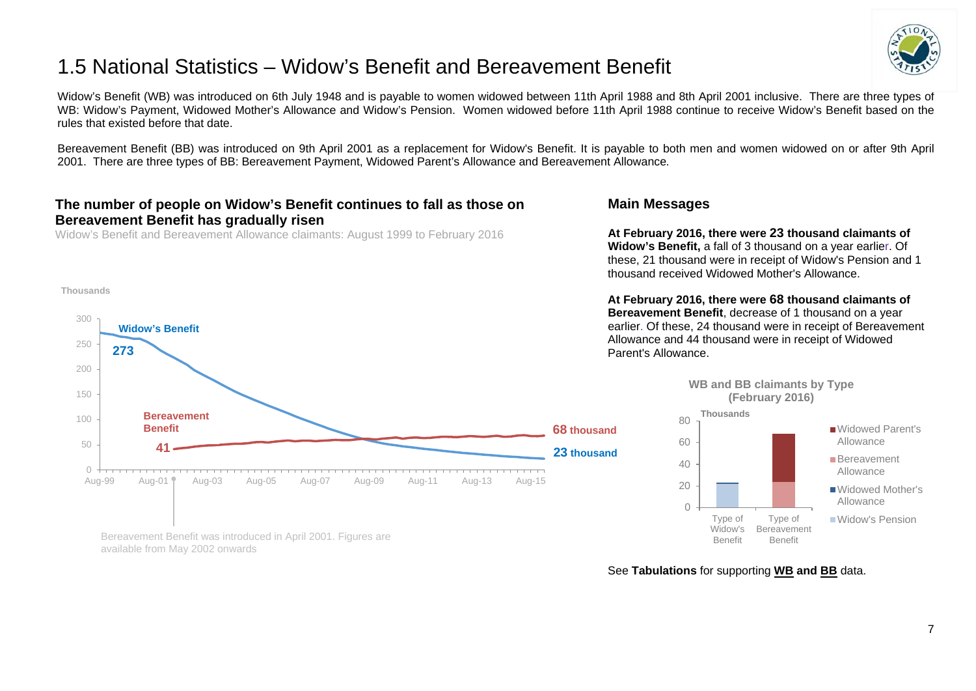# <span id="page-6-0"></span>1.5 National Statistics – Widow's Benefit and Bereavement Benefit



Widow's Benefit (WB) was introduced on 6th July 1948 and is payable to women widowed between 11th April 1988 and 8th April 2001 inclusive. There are three types of WB: Widow's Payment, Widowed Mother's Allowance and Widow's Pension. Women widowed before 11th April 1988 continue to receive Widow's Benefit based on the rules that existed before that date.

Bereavement Benefit (BB) was introduced on 9th April 2001 as a replacement for Widow's Benefit. It is payable to both men and women widowed on or after 9th April 2001. There are three types of BB: Bereavement Payment, Widowed Parent's Allowance and Bereavement Allowance*.*

### **The number of people on Widow's Benefit continues to fall as those on Bereavement Benefit has gradually risen**

Widow's Benefit and Bereavement Allowance claimants: August 1999 to February 2016

Bereavement Benefit was introduced in April 2001. Figures are

available from May 2002 onwards

#### **Thousands**



**Main Messages**

**At February 2016, there were 23 thousand claimants of Widow's Benefit,** a fall of 3 thousand on a year earlier. Of these, 21 thousand were in receipt of Widow's Pension and 1 thousand received Widowed Mother's Allowance.

**At February 2016, there were 68 thousand claimants of Bereavement Benefit**, decrease of 1 thousand on a year earlier. Of these, 24 thousand were in receipt of Bereavement Allowance and 44 thousand were in receipt of Widowed Parent's Allowance.



See **Tabulations** for supporting **[WB](http://tabulation-tool.dwp.gov.uk/100pc/wb/ccdate/cat/a_carate_r_ccdate_c_cat.html) and [BB](http://tabulation-tool.dwp.gov.uk/100pc/bb/ccdate/cat/a_carate_r_ccdate_c_cat.html)** data.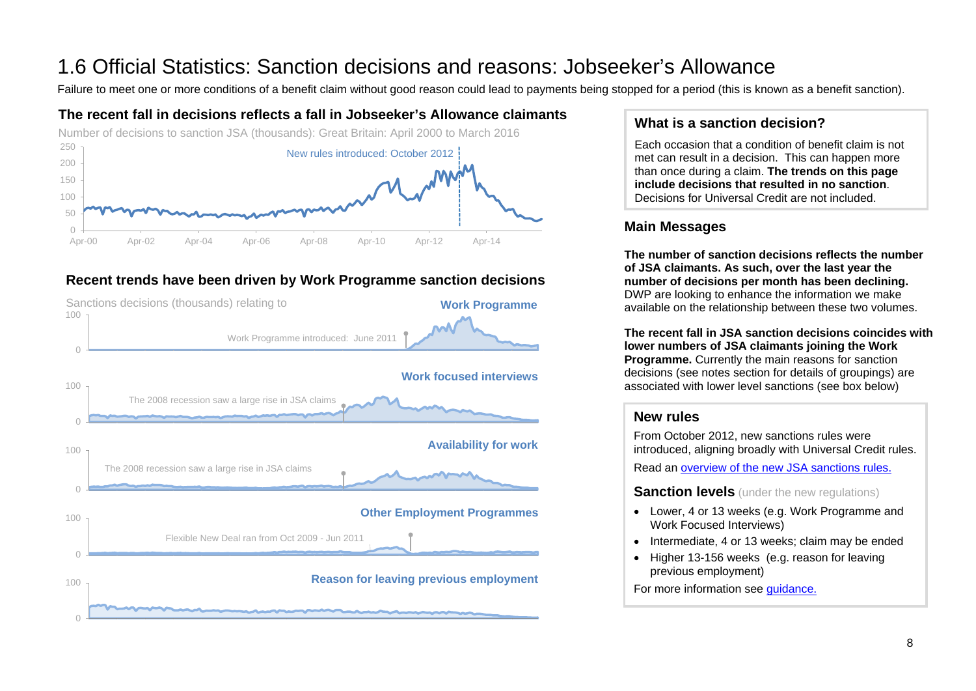# <span id="page-7-0"></span>1.6 Official Statistics: Sanction decisions and reasons: Jobseeker's Allowance<br>Failure to meet one or more conditions of a benefit claim without good reason could lead to payments being stopped for a period (this is known

# **The recent fall in decisions reflects a fall in Jobseeker's Allowance claimants**



# **Recent trends have been driven by Work Programme sanction decisions**



# **What is a sanction decision?**

Each occasion that a condition of benefit claim is not met can result in a decision. This can happen more than once during a claim. **The trends on this page include decisions that resulted in no sanction**. Decisions for Universal Credit are not included.

# **Main Messages**

**The number of sanction decisions reflects the number of JSA claimants. As such, over the last year the number of decisions per month has been declining.**  DWP are looking to enhance the information we make available on the relationship between these two volumes.

**The recent fall in JSA sanction decisions coincides with lower numbers of JSA claimants joining the Work Programme.** Currently the main reasons for sanction decisions (see notes section for details of groupings) are associated with lower level sanctions (see box below)

### **New rules**

From October 2012, new sanctions rules were introduced, aligning broadly with Universal Credit rules.

Read an [overview of the new JSA sanctions rules.](https://www.gov.uk/government/publications/jobseekers-allowance-overview-of-sanctions-rules)

**Sanction levels** (under the new regulations)

- Lower, 4 or 13 weeks (e.g. Work Programme and Work Focused Interviews)
- Intermediate, 4 or 13 weeks; claim may be ended
- Higher 13-156 weeks (e.g. reason for leaving previous employment)

For more information see [guidance.](https://www.gov.uk/government/publications/jobseekers-allowance-sanctions-leaflet/jobseekers-allowance-sanctions-how-to-keep-your-benefit-payment)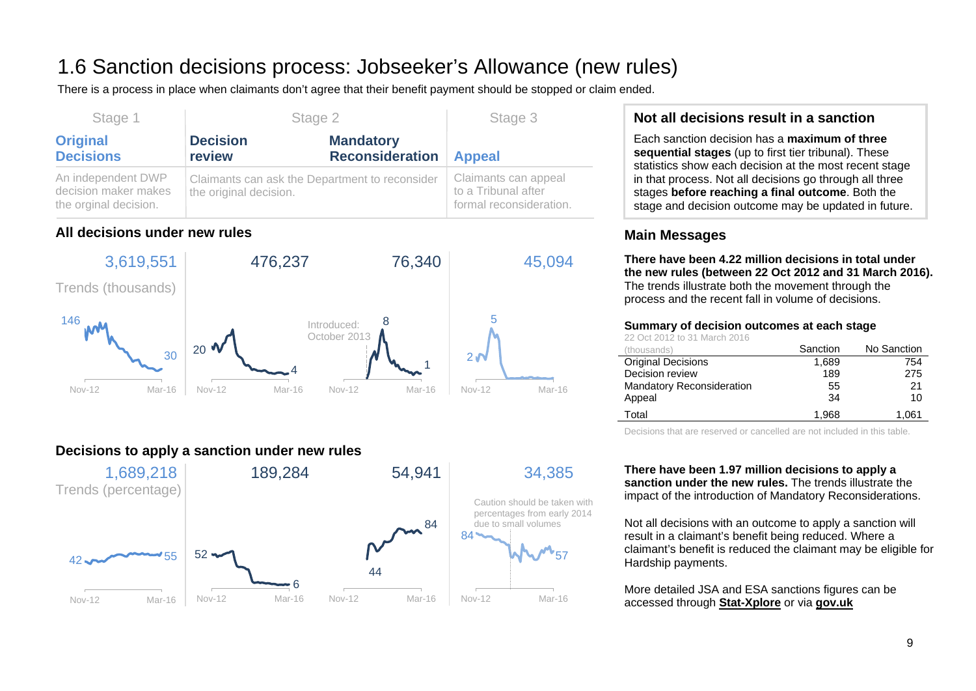# 1.6 Sanction decisions process: Jobseeker's Allowance (new rules)

There is a process in place when claimants don't agree that their benefit payment should be stopped or claim ended.

| Stage 1                                                             | Stage 2                                                                  |                                            | Stage 3                                                                |
|---------------------------------------------------------------------|--------------------------------------------------------------------------|--------------------------------------------|------------------------------------------------------------------------|
| <b>Original</b><br><b>Decisions</b>                                 | <b>Decision</b><br>review                                                | <b>Mandatory</b><br><b>Reconsideration</b> | <b>Appeal</b>                                                          |
| An independent DWP<br>decision maker makes<br>the orginal decision. | Claimants can ask the Department to reconsider<br>the original decision. |                                            | Claimants can appeal<br>to a Tribunal after<br>formal reconsideration. |

# **All decisions under new rules**



# **Decisions to apply a sanction under new rules**



# **Not all decisions result in a sanction**

Each sanction decision has a **maximum of three sequential stages** (up to first tier tribunal). These statistics show each decision at the most recent stage in that process. Not all decisions go through all three stages **before reaching a final outcome**. Both the stage and decision outcome may be updated in future.

# **Main Messages**

**There have been 4.22 million decisions in total under the new rules (between 22 Oct 2012 and 31 March 2016).** The trends illustrate both the movement through the process and the recent fall in volume of decisions.

#### **Summary of decision outcomes at each stage**

22 Oct 2012 to 31 March 2016

| (thousands)                      | Sanction | No Sanction |
|----------------------------------|----------|-------------|
| <b>Original Decisions</b>        | 1,689    | 754         |
| Decision review                  | 189      | 275         |
| <b>Mandatory Reconsideration</b> | 55       | 21          |
| Appeal                           | 34       | 10          |
| Total                            | 1.968    | 1.061       |

Decisions that are reserved or cancelled are not included in this table.

**There have been 1.97 million decisions to apply a sanction under the new rules.** The trends illustrate the impact of the introduction of Mandatory Reconsiderations.

Not all decisions with an outcome to apply a sanction will result in a claimant's benefit being reduced. Where a claimant's benefit is reduced the claimant may be eligible for Hardship payments.

More detailed JSA and ESA sanctions figures can be accessed through **[Stat-Xplore](https://stat-xplore.dwp.gov.uk/)** or via **[gov.uk](https://www.gov.uk/government/collections/jobseekers-allowance-sanctions)**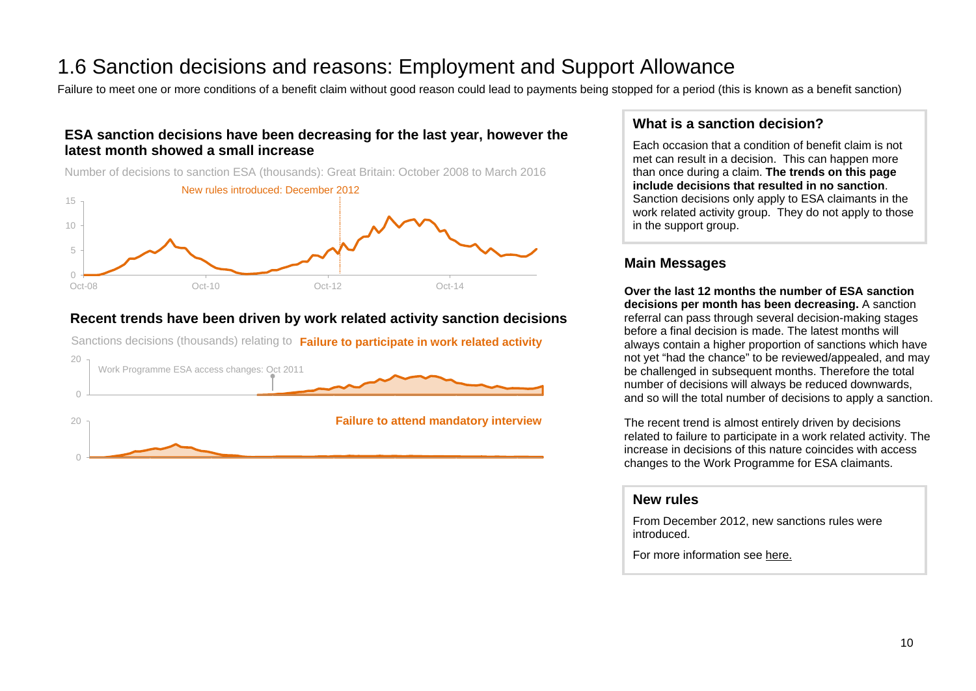# 1.6 Sanction decisions and reasons: Employment and Support Allowance<br>Failure to meet one or more conditions of a benefit claim without good reason could lead to payments being stopped for a period (this is known as a benef

# **ESA sanction decisions have been decreasing for the last year, however the latest month showed a small increase**

Number of decisions to sanction ESA (thousands): Great Britain: October 2008 to March 2016



## **Recent trends have been driven by work related activity sanction decisions**

Sanctions decisions (thousands) relating to **Failure to participate in work related activity**



### **What is a sanction decision?**

Each occasion that a condition of benefit claim is not met can result in a decision. This can happen more than once during a claim. **The trends on this page include decisions that resulted in no sanction**. Sanction decisions only apply to ESA claimants in the work related activity group. They do not apply to those in the support group.

# **Main Messages**

**Over the last 12 months the number of ESA sanction decisions per month has been decreasing.** A sanction referral can pass through several decision-making stages before a final decision is made. The latest months will always contain a higher proportion of sanctions which have not yet "had the chance" to be reviewed/appealed, and may be challenged in subsequent months. Therefore the total number of decisions will always be reduced downwards, and so will the total number of decisions to apply a sanction.

The recent trend is almost entirely driven by decisions related to failure to participate in a work related activity. The increase in decisions of this nature coincides with access changes to the Work Programme for ESA claimants.

#### **New rules**

From December 2012, new sanctions rules were introduced.

For more information see [here.](https://www.gov.uk/government/collections/jobseekers-allowance-sanctions)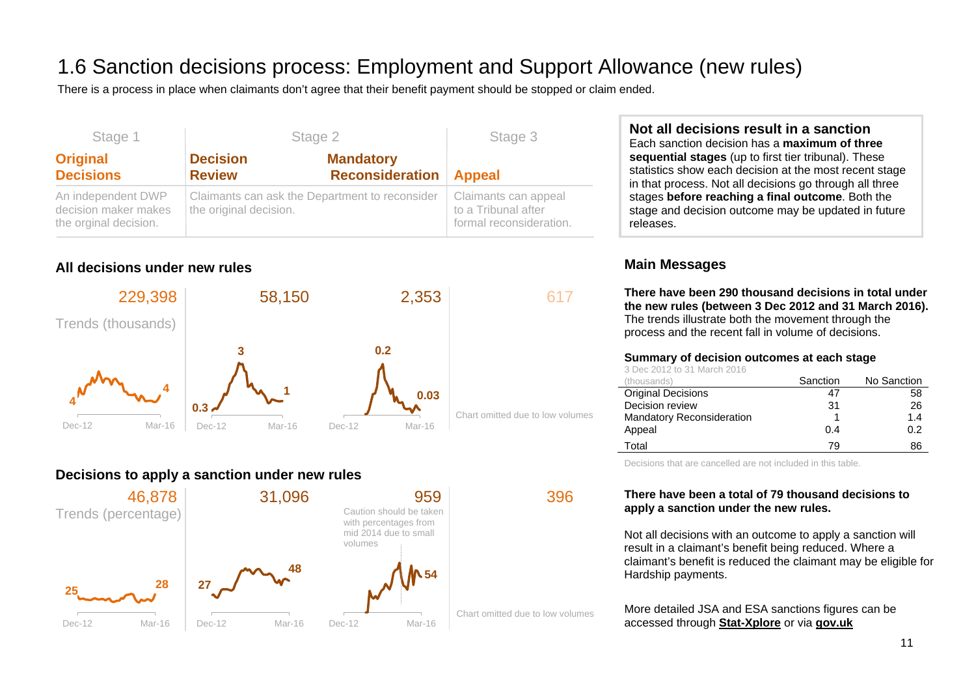# 1.6 Sanction decisions process: Employment and Support Allowance (new rules)

There is a process in place when claimants don't agree that their benefit payment should be stopped or claim ended.

| Stage 1                                                             | Stage 2                                                                  |                                                   | Stage 3                                                                |
|---------------------------------------------------------------------|--------------------------------------------------------------------------|---------------------------------------------------|------------------------------------------------------------------------|
| <b>Original</b><br><b>Decisions</b>                                 | <b>Decision</b><br><b>Review</b>                                         | <b>Mandatory</b><br><b>Reconsideration Appeal</b> |                                                                        |
| An independent DWP<br>decision maker makes<br>the orginal decision. | Claimants can ask the Department to reconsider<br>the original decision. |                                                   | Claimants can appeal<br>to a Tribunal after<br>formal reconsideration. |

# **All decisions under new rules**



# **Decisions to apply a sanction under new rules**



# **Not all decisions result in a sanction**

Each sanction decision has a **maximum of three sequential stages** (up to first tier tribunal). These statistics show each decision at the most recent stage in that process. Not all decisions go through all three stages **before reaching a final outcome**. Both the stage and decision outcome may be updated in future releases.

# **Main Messages**

**There have been 290 thousand decisions in total under the new rules (between 3 Dec 2012 and 31 March 2016).** The trends illustrate both the movement through the process and the recent fall in volume of decisions.

#### **Summary of decision outcomes at each stage**

3 Dec 2012 to 31 March 2016

| (thousands)                      | Sanction | No Sanction |
|----------------------------------|----------|-------------|
| <b>Original Decisions</b>        | 47       | 58          |
| Decision review                  | 31       | 26          |
| <b>Mandatory Reconsideration</b> |          | 1.4         |
| Appeal                           | 0.4      | 0.2         |
| Total                            | 79       | 86          |

Decisions that are cancelled are not included in this table.

#### **There have been a total of 79 thousand decisions to apply a sanction under the new rules.**

Not all decisions with an outcome to apply a sanction will result in a claimant's benefit being reduced. Where a claimant's benefit is reduced the claimant may be eligible for Hardship payments.

More detailed JSA and ESA sanctions figures can be accessed through **[Stat-Xplore](https://stat-xplore.dwp.gov.uk/)** or via **[gov.uk](https://www.gov.uk/government/collections/jobseekers-allowance-sanctions)**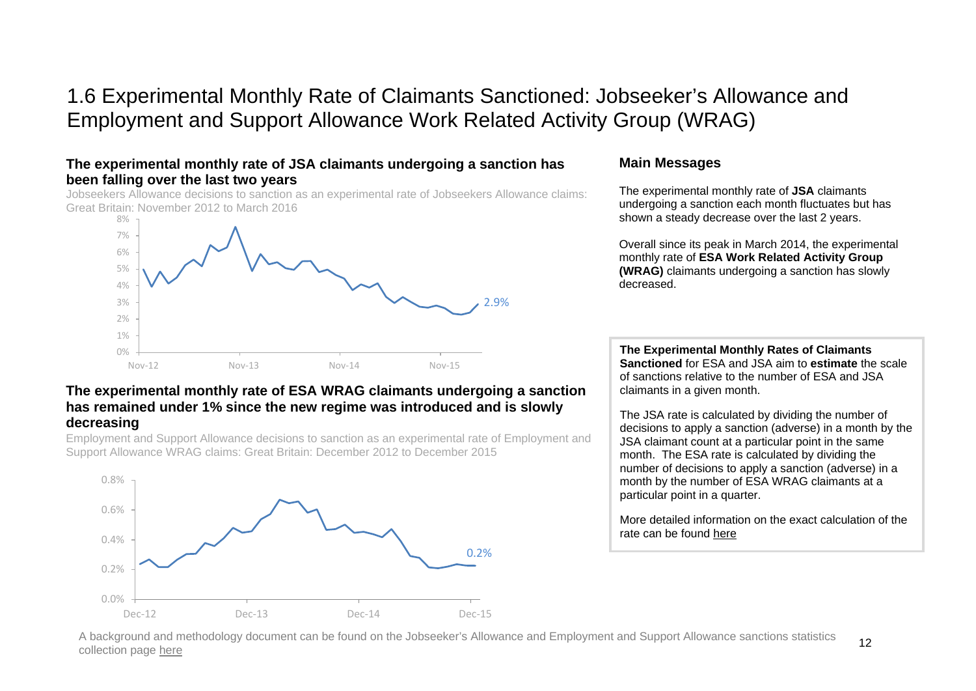# 1.6 Experimental Monthly Rate of Claimants Sanctioned: Jobseeker's Allowance and Employment and Support Allowance Work Related Activity Group (WRAG)

### **The experimental monthly rate of JSA claimants undergoing a sanction has been falling over the last two years**

Jobseekers Allowance decisions to sanction as an experimental rate of Jobseekers Allowance claims: Great Britain: November 2012 to March 2016



#### **The experimental monthly rate of ESA WRAG claimants undergoing a sanction has remained under 1% since the new regime was introduced and is slowly decreasing**

Employment and Support Allowance decisions to sanction as an experimental rate of Employment and Support Allowance WRAG claims: Great Britain: December 2012 to December 2015



### **Main Messages**

The experimental monthly rate of **JSA** claimants undergoing a sanction each month fluctuates but has shown a steady decrease over the last 2 years.

Overall since its peak in March 2014, the experimental monthly rate of **ESA Work Related Activity Group (WRAG)** claimants undergoing a sanction has slowly decreased.

**The Experimental Monthly Rates of Claimants Sanctioned** for ESA and JSA aim to **estimate** the scale of sanctions relative to the number of ESA and JSA claimants in a given month.

The JSA rate is calculated by dividing the number of decisions to apply a sanction (adverse) in a month by the JSA claimant count at a particular point in the same month. The ESA rate is calculated by dividing the number of decisions to apply a sanction (adverse) in a month by the number of ESA WRAG claimants at a particular point in a quarter.

More detailed information on the exact calculation of the rate can be found [here](https://www.gov.uk/government/uploads/system/uploads/attachment_data/file/523832/monthly-rate-of-claims-sanctioned-background-and-methodology.pdf)

A background and methodology document can be found on the Jobseeker's Allowance and Employment and Support Allowance sanctions statistics collection page [here](https://www.gov.uk/government/uploads/system/uploads/attachment_data/file/523832/monthly-rate-of-claims-sanctioned-background-and-methodology.pdf)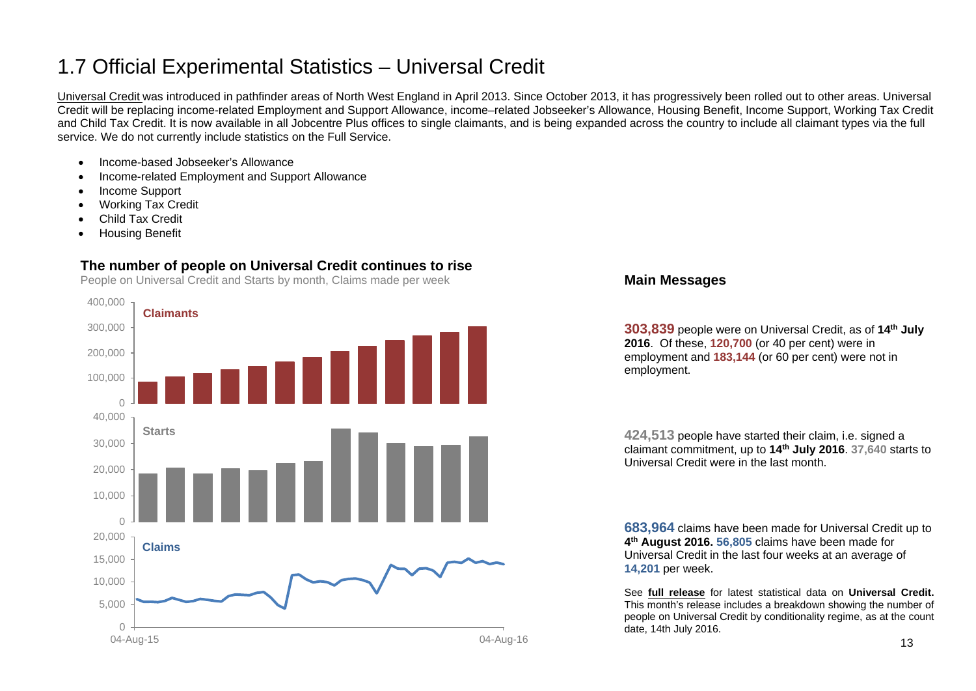# <span id="page-12-0"></span>1.7 Official Experimental Statistics – Universal Credit

[Universal Credit](https://www.gov.uk/government/collections/universal-credit-statistics) was introduced in pathfinder areas of North West England in April 2013. Since October 2013, it has progressively been rolled out to other areas. Universal Credit will be replacing income-related Employment and Support Allowance, income–related Jobseeker's Allowance, Housing Benefit, Income Support, Working Tax Credit and Child Tax Credit. It is now available in all Jobcentre Plus offices to single claimants, and is being expanded across the country to include all claimant types via the full service. We do not currently include statistics on the Full Service.

- Income-based Jobseeker's Allowance
- Income-related Employment and Support Allowance
- Income Support
- Working Tax Credit
- Child Tax Credit
- Housing Benefit

## **The number of people on Universal Credit continues to rise**

People on Universal Credit and Starts by month, Claims made per week



#### **Main Messages**

**303,839** people were on Universal Credit, as of **14th July 2016**. Of these, **120,700** (or 40 per cent) were in employment and **183,144** (or 60 per cent) were not in employment.

**424,513** people have started their claim, i.e. signed a claimant commitment, up to **14th July 2016**. **37,640** starts to Universal Credit were in the last month.

**683,964** claims have been made for Universal Credit up to **4th August 2016. 56,805** claims have been made for Universal Credit in the last four weeks at an average of **14,201** per week.

See **[full release](https://www.gov.uk/government/collections/universal-credit-statistics)** for latest statistical data on **Universal Credit.**  This month's release includes a breakdown showing the number of people on Universal Credit by conditionality regime, as at the count date, 14th July 2016.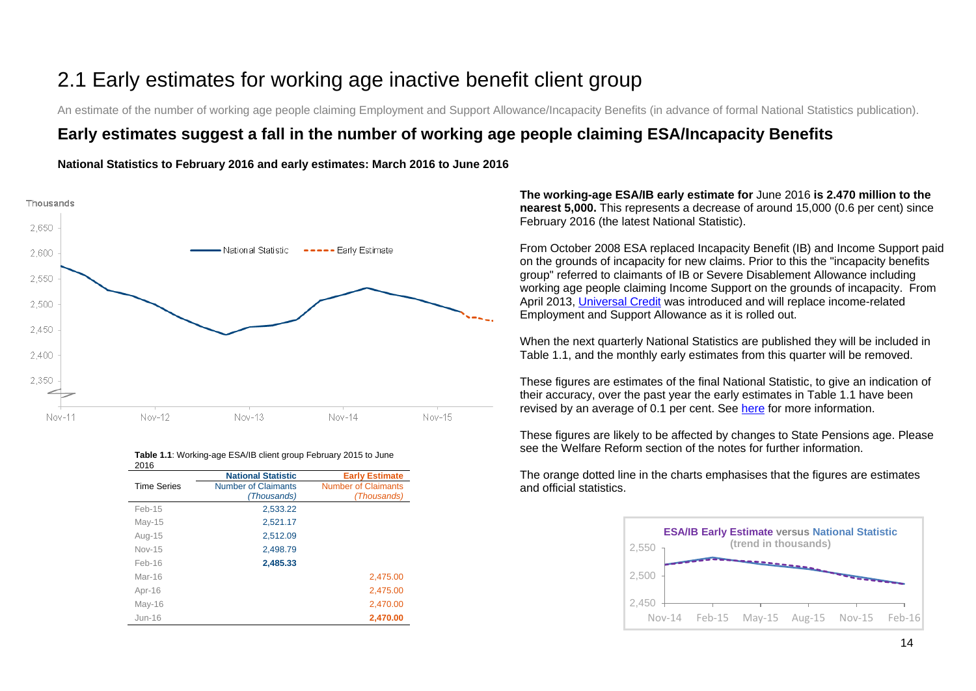# <span id="page-13-0"></span>2.1 Early estimates for working age inactive benefit client group

An estimate of the number of working age people claiming Employment and Support Allowance/Incapacity Benefits (in advance of formal National Statistics publication).

# **Early estimates suggest a fall in the number of working age people claiming ESA/Incapacity Benefits**

#### **National Statistics to February 2016 and early estimates: March 2016 to June 2016**



| 2016               |                            |                            |
|--------------------|----------------------------|----------------------------|
|                    | <b>National Statistic</b>  | <b>Early Estimate</b>      |
| <b>Time Series</b> | <b>Number of Claimants</b> | <b>Number of Claimants</b> |
|                    | (Thousands)                | (Thousands)                |
| Feb-15             | 2,533.22                   |                            |
| $May-15$           | 2,521.17                   |                            |
| Aug-15             | 2,512.09                   |                            |
| <b>Nov-15</b>      | 2.498.79                   |                            |
| $Feb-16$           | 2,485.33                   |                            |
| Mar-16             |                            | 2,475.00                   |
| Apr-16             |                            | 2,475.00                   |
| May-16             |                            | 2,470.00                   |
| Jun-16             |                            | 2,470.00                   |

# **Table 1.1**: Working-age ESA/IB client group February 2015 to June

**The working-age ESA/IB early estimate for** June 2016 **is 2.470 million to the nearest 5,000.** This represents a decrease of around 15,000 (0.6 per cent) since February 2016 (the latest National Statistic).

From October 2008 ESA replaced Incapacity Benefit (IB) and Income Support paid on the grounds of incapacity for new claims. Prior to this the "incapacity benefits group" referred to claimants of IB or Severe Disablement Allowance including working age people claiming Income Support on the grounds of incapacity. From April 2013, [Universal Credit](https://www.gov.uk/government/collections/universal-credit-statistics) was introduced and will replace income-related Employment and Support Allowance as it is rolled out.

When the next quarterly National Statistics are published they will be included in Table 1.1, and the monthly early estimates from this quarter will be removed.

These figures are estimates of the final National Statistic, to give an indication of their accuracy, over the past year the early estimates in Table 1.1 have been revised by an average of 0.1 per cent. See [here](https://www.gov.uk/government/uploads/system/uploads/attachment_data/file/204838/tech-doc-early-estimates-working-age-inactive.pdf) for more information.

These figures are likely to be affected by changes to State Pensions age. Please see the Welfare Reform section of the notes for further information.



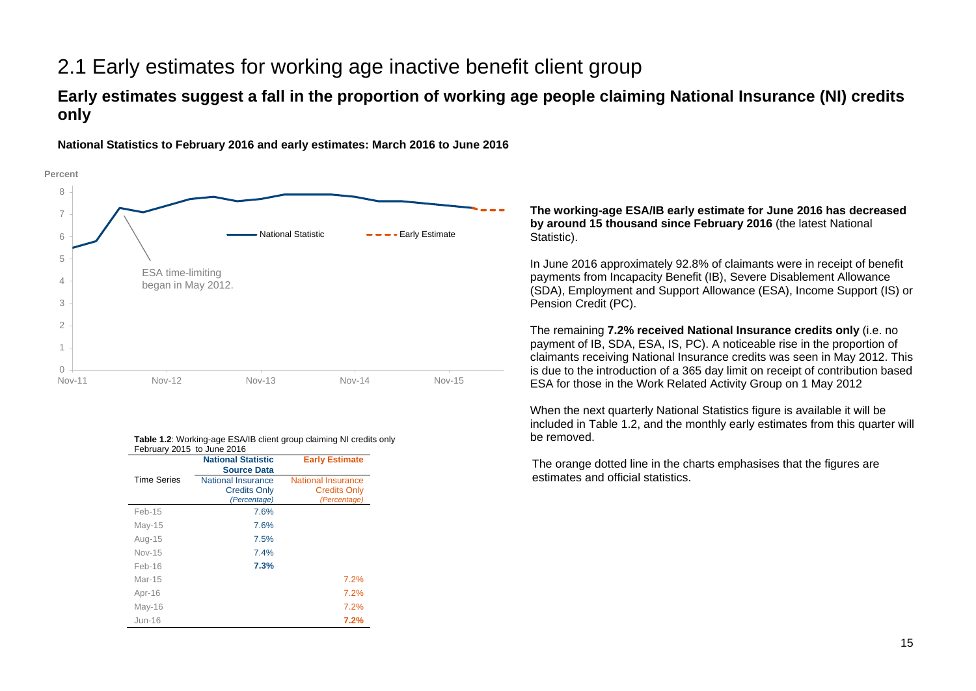# 2.1 Early estimates for working age inactive benefit client group

# **Early estimates suggest a fall in the proportion of working age people claiming National Insurance (NI) credits only**



**National Statistics to February 2016 and early estimates: March 2016 to June 2016**

#### **Table 1.2:** Working-age ESA/IB client group claiming NI credits only February 2015 to June 2016

|                    | <b>National Statistic</b><br><b>Source Data</b>           | <b>Early Estimate</b>                                     |
|--------------------|-----------------------------------------------------------|-----------------------------------------------------------|
| <b>Time Series</b> | National Insurance<br><b>Credits Only</b><br>(Percentage) | National Insurance<br><b>Credits Only</b><br>(Percentage) |
| Feb-15             | 7.6%                                                      |                                                           |
| $May-15$           | 7.6%                                                      |                                                           |
| Aug-15             | 7.5%                                                      |                                                           |
| Nov-15             | 7.4%                                                      |                                                           |
| $Feh-16$           | 7.3%                                                      |                                                           |
| $Mar-15$           |                                                           | 7.2%                                                      |
| Apr-16             |                                                           | 7.2%                                                      |
| $May-16$           |                                                           | 7.2%                                                      |
| $Jun-16$           |                                                           | 7.2%                                                      |

#### **The working-age ESA/IB early estimate for June 2016 has decreased by around 15 thousand since February 2016** (the latest National Statistic).

In June 2016 approximately 92.8% of claimants were in receipt of benefit payments from Incapacity Benefit (IB), Severe Disablement Allowance (SDA), Employment and Support Allowance (ESA), Income Support (IS) or Pension Credit (PC).

The remaining **7.2% received National Insurance credits only** (i.e. no payment of IB, SDA, ESA, IS, PC). A noticeable rise in the proportion of claimants receiving National Insurance credits was seen in May 2012. This is due to the introduction of a 365 day limit on receipt of contribution based ESA for those in the Work Related Activity Group on 1 May 2012

When the next quarterly National Statistics figure is available it will be included in Table 1.2, and the monthly early estimates from this quarter will be removed.

The orange dotted line in the charts emphasises that the figures are estimates and official statistics.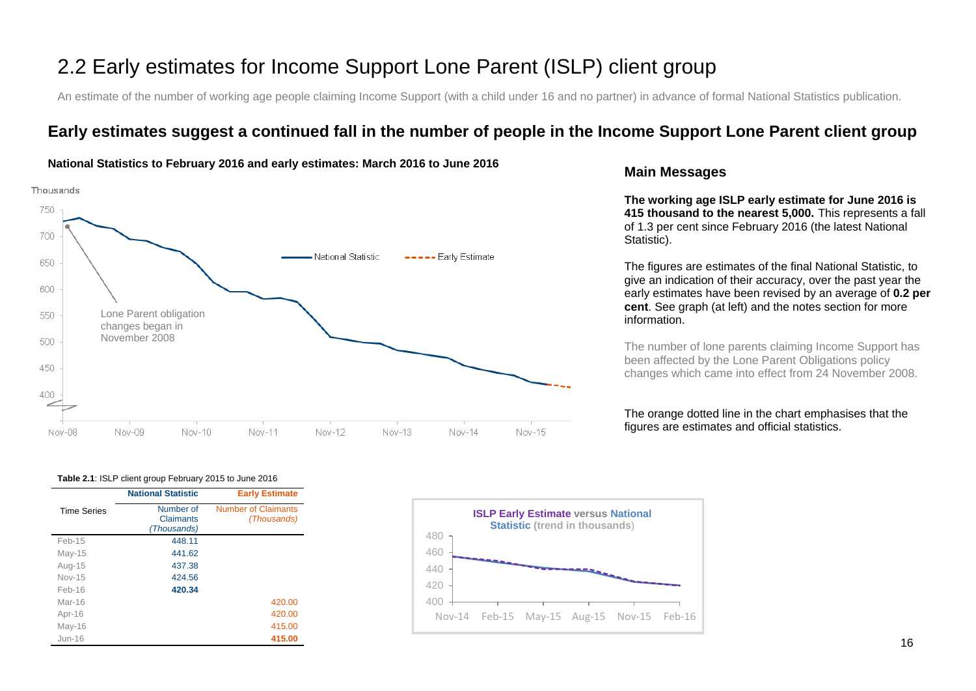# 2.2 Early estimates for Income Support Lone Parent (ISLP) client group

An estimate of the number of working age people claiming Income Support (with a child under 16 and no partner) in advance of formal National Statistics publication.

# **Early estimates suggest a continued fall in the number of people in the Income Support Lone Parent client group**



#### **National Statistics to February 2016 and early estimates: March 2016 to June 2016**

### **Main Messages**

**The working age ISLP early estimate for June 2016 is 415 thousand to the nearest 5,000.** This represents a fall of 1.3 per cent since February 2016 (the latest National Statistic).

The figures are estimates of the final National Statistic, to give an indication of their accuracy, over the past year the early estimates have been revised by an average of **0.2 per cent**. See graph (at left) and the notes section for more information.

The number of lone parents claiming Income Support has been affected by the Lone Parent Obligations policy changes which came into effect from 24 November 2008.

The orange dotted line in the chart emphasises that the figures are estimates and official statistics.

#### **Table 2.1**: ISLP client group February 2015 to June 2016

|                    | <b>National Statistic</b>             | <b>Early Estimate</b>                     |
|--------------------|---------------------------------------|-------------------------------------------|
| <b>Time Series</b> | Number of<br>Claimants<br>(Thousands) | <b>Number of Claimants</b><br>(Thousands) |
| Feb-15             | 448.11                                |                                           |
| $May-15$           | 441.62                                |                                           |
| Aug-15             | 437.38                                |                                           |
| $Nov-15$           | 424.56                                |                                           |
| $Feh-16$           | 420.34                                |                                           |
| $Mar-16$           |                                       | 420.00                                    |
| Apr-16             |                                       | 420.00                                    |
| May-16             |                                       | 415.00                                    |
| $Jun-16$           |                                       | 415.00                                    |

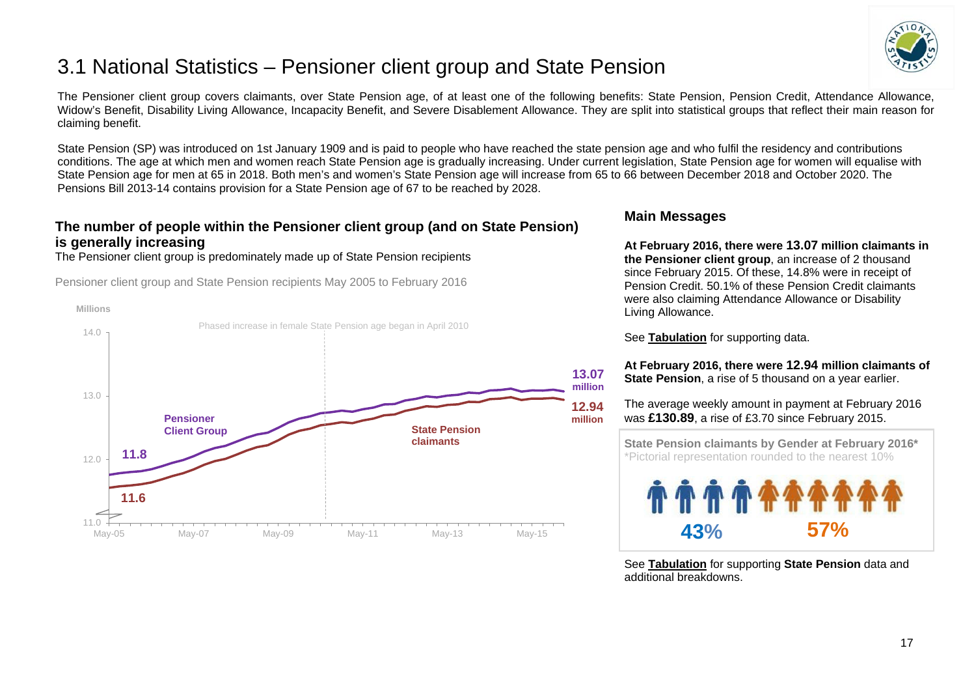

# <span id="page-16-0"></span>3.1 National Statistics – Pensioner client group and State Pension

The Pensioner client group covers claimants, over State Pension age, of at least one of the following benefits: State Pension, Pension Credit, Attendance Allowance, Widow's Benefit, Disability Living Allowance, Incapacity Benefit, and Severe Disablement Allowance. They are split into statistical groups that reflect their main reason for claiming benefit.

State Pension (SP) was introduced on 1st January 1909 and is paid to people who have reached the state pension age and who fulfil the residency and contributions conditions. The age at which men and women reach State Pension age is gradually increasing. Under current legislation, State Pension age for women will equalise with State Pension age for men at 65 in 2018. Both men's and women's State Pension age will increase from 65 to 66 between December 2018 and October 2020. The Pensions Bill 2013-14 contains provision for a State Pension age of 67 to be reached by 2028.

# **The number of people within the Pensioner client group (and on State Pension) is generally increasing**

The Pensioner client group is predominately made up of State Pension recipients

Pensioner client group and State Pension recipients May 2005 to February 2016



### **Main Messages**

**At February 2016, there were 13.07 million claimants in the Pensioner client group**, an increase of 2 thousand since February 2015. Of these, 14.8% were in receipt of Pension Credit. 50.1% of these Pension Credit claimants were also claiming Attendance Allowance or Disability Living Allowance.

See **[Tabulation](http://tabulation-tool.dwp.gov.uk/100pc/pa/ccdate/ccpencomb/a_carate_r_ccdate_c_ccpencomb.html)** for supporting data.

**At February 2016, there were 12.94 million claimants of State Pension**, a rise of 5 thousand on a year earlier.

The average weekly amount in payment at February 2016 was **£130.89**, a rise of £3.70 since February 2015.

 **State Pension claimants by Gender at February 2016\*** \*Pictorial representation rounded to the nearest 10%



See **[Tabulation](http://ifdnsas1/modstats/updateAug15/100pc/pa/ccdate/ccpencomb/a_carate_r_ccdate_c_ccpencomb.html)** for supporting **State Pension** data and additional breakdowns.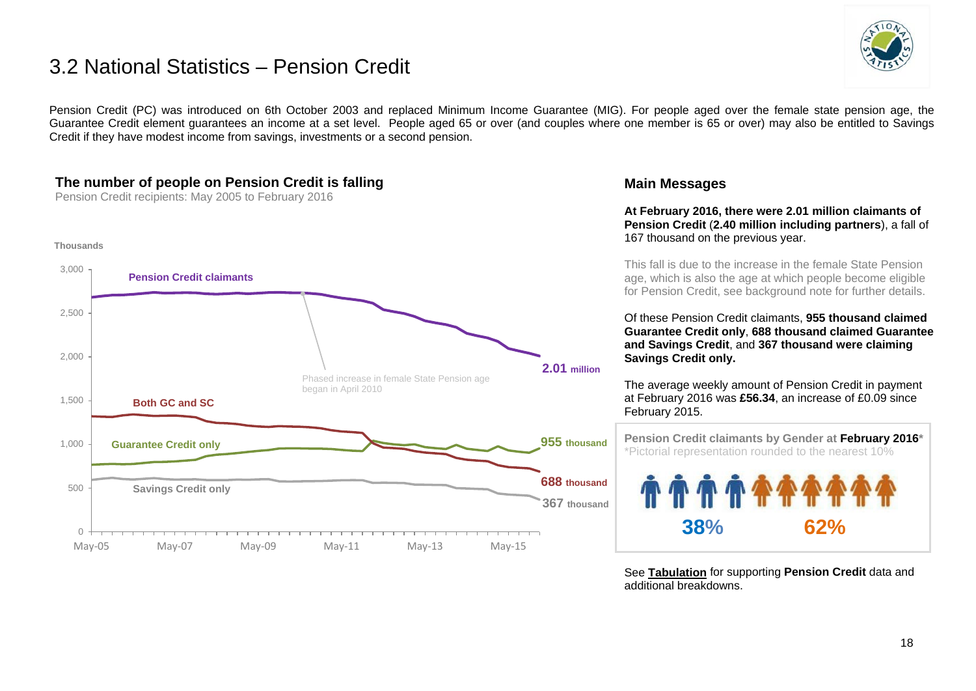# 3.2 National Statistics – Pension Credit



Pension Credit (PC) was introduced on 6th October 2003 and replaced Minimum Income Guarantee (MIG). For people aged over the female state pension age, the Guarantee Credit element guarantees an income at a set level. People aged 65 or over (and couples where one member is 65 or over) may also be entitled to Savings Credit if they have modest income from savings, investments or a second pension.

# **The number of people on Pension Credit is falling**

Pension Credit recipients: May 2005 to February 2016



### **Main Messages**

**At February 2016, there were 2.01 million claimants of Pension Credit** (**2.40 million including partners**), a fall of 167 thousand on the previous year.

This fall is due to the increase in the female State Pension age, which is also the age at which people become eligible for Pension Credit, see background note for further details.

Of these Pension Credit claimants, **955 thousand claimed Guarantee Credit only**, **688 thousand claimed Guarantee and Savings Credit**, and **367 thousand were claiming Savings Credit only.**

The average weekly amount of Pension Credit in payment at February 2016 was **£56.34**, an increase of £0.09 since February 2015.

 **Pension Credit claimants by Gender at February 2016\*** \*Pictorial representation rounded to the nearest 10% **38% 62%**

See **[Tabulation](http://tabulation-tool.dwp.gov.uk/100pc/pc/ccdate/pctype/a_carate_r_ccdate_c_pctype.html)** for supporting **Pension Credit** data and additional breakdowns.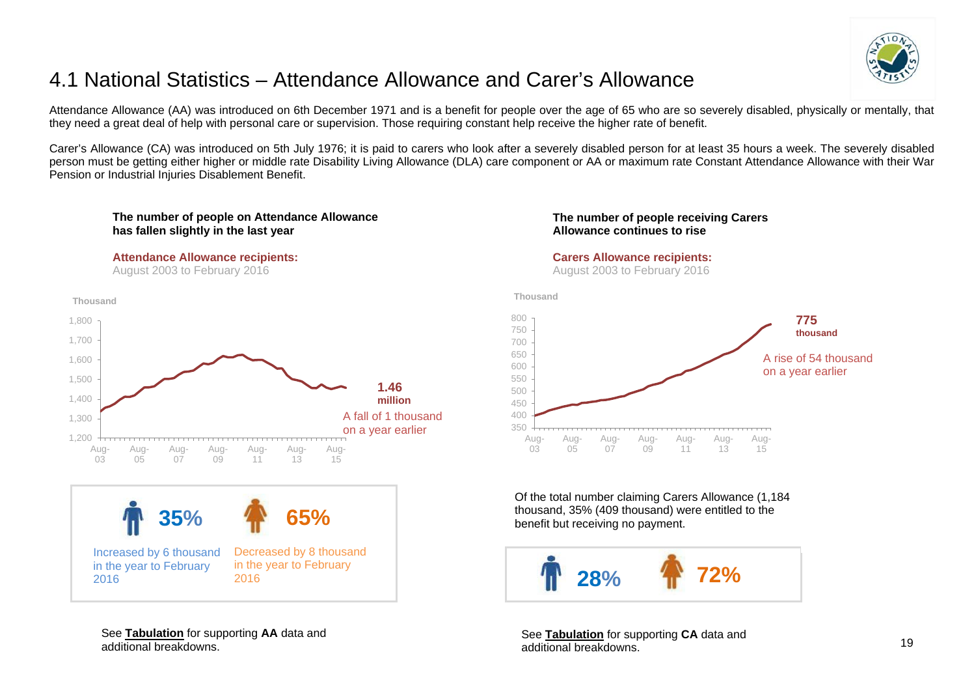

# <span id="page-18-0"></span>4.1 National Statistics – Attendance Allowance and Carer's Allowance

Attendance Allowance (AA) was introduced on 6th December 1971 and is a benefit for people over the age of 65 who are so severely disabled, physically or mentally, that they need a great deal of help with personal care or supervision. Those requiring constant help receive the higher rate of benefit.

Carer's Allowance (CA) was introduced on 5th July 1976; it is paid to carers who look after a severely disabled person for at least 35 hours a week. The severely disabled person must be getting either higher or middle rate Disability Living Allowance (DLA) care component or AA or maximum rate Constant Attendance Allowance with their War Pension or Industrial Injuries Disablement Benefit.



#### **Attendance Allowance recipients:**

August 2003 to February 2016



Increased by 6 thousand in the year to February 2016



#### See **[Tabulation](http://tabulation-tool.dwp.gov.uk/100pc/aa/tabtool_aa.html)** for supporting **AA** data and additional breakdowns.

#### **The number of people receiving Carers Allowance continues to rise**

#### **Carers Allowance recipients:**

August 2003 to February 2016





Of the total number claiming Carers Allowance (1,184 thousand, 35% (409 thousand) were entitled to the benefit but receiving no payment.



See **[Tabulation](http://tabulation-tool.dwp.gov.uk/100pc/ca/tabtool_ca.html)** for supporting **CA** data and additional breakdowns.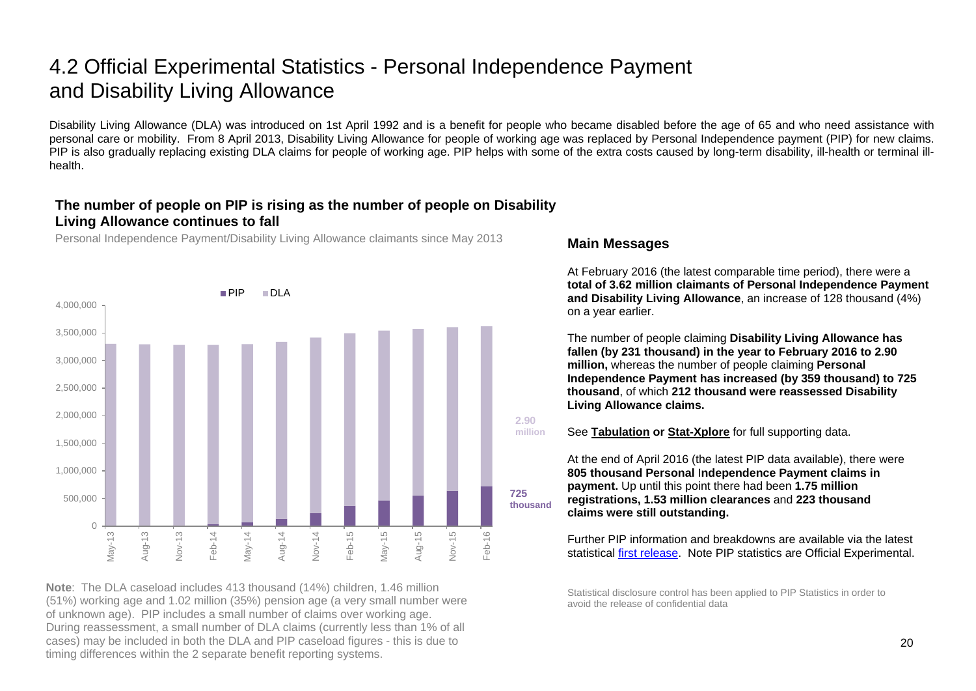# 4.2 Official Experimental Statistics - Personal Independence Payment and Disability Living Allowance

Disability Living Allowance (DLA) was introduced on 1st April 1992 and is a benefit for people who became disabled before the age of 65 and who need assistance with personal care or mobility. From 8 April 2013, Disability Living Allowance for people of working age was replaced by Personal Independence payment (PIP) for new claims. PIP is also gradually replacing existing DLA claims for people of working age. PIP helps with some of the extra costs caused by long-term disability, ill-health or terminal illhealth.

## **The number of people on PIP is rising as the number of people on Disability Living Allowance continues to fall**

Personal Independence Payment/Disability Living Allowance claimants since May 2013



**Note**: The DLA caseload includes 413 thousand (14%) children, 1.46 million (51%) working age and 1.02 million (35%) pension age (a very small number were of unknown age). PIP includes a small number of claims over working age. During reassessment, a small number of DLA claims (currently less than 1% of all cases) may be included in both the DLA and PIP caseload figures - this is due to timing differences within the 2 separate benefit reporting systems.

### **Main Messages**

At February 2016 (the latest comparable time period), there were a **total of 3.62 million claimants of Personal Independence Payment and Disability Living Allowance**, an increase of 128 thousand (4%) on a year earlier.

The number of people claiming **Disability Living Allowance has fallen (by 231 thousand) in the year to February 2016 to 2.90 million,** whereas the number of people claiming **Personal Independence Payment has increased (by 359 thousand) to 725 thousand**, of which **212 thousand were reassessed Disability Living Allowance claims.**



See **[Tabulation](http://tabulation-tool.dwp.gov.uk/100pc/dla/tabtool_dla.html) or [Stat-Xplore](https://stat-xplore.dwp.gov.uk/)** for full supporting data.

At the end of April 2016 (the latest PIP data available), there were **805 thousand Personal** I**ndependence Payment claims in payment.** Up until this point there had been **1.75 million registrations, 1.53 million clearances** and **223 thousand claims were still outstanding.** 

Further PIP information and breakdowns are available via the latest statistical [first release.](https://www.gov.uk/government/collections/personal-independence-payment-statistics) Note PIP statistics are Official Experimental.

Statistical disclosure control has been applied to PIP Statistics in order to avoid the release of confidential data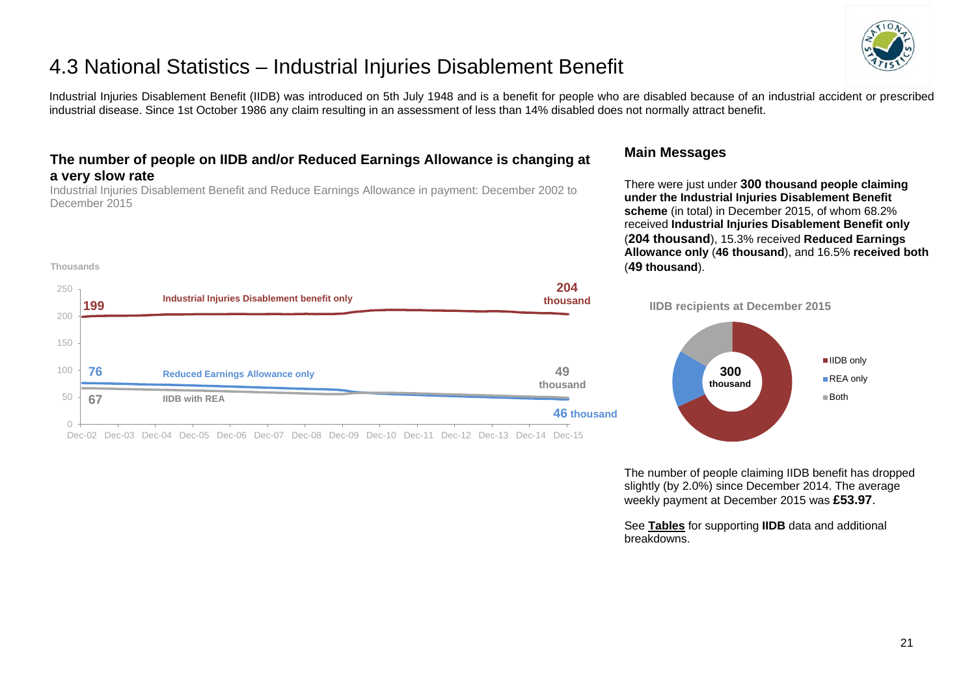

# 4.3 National Statistics – Industrial Injuries Disablement Benefit

Industrial Injuries Disablement Benefit (IIDB) was introduced on 5th July 1948 and is a benefit for people who are disabled because of an industrial accident or prescribed industrial disease. Since 1st October 1986 any claim resulting in an assessment of less than 14% disabled does not normally attract benefit.

# **The number of people on IIDB and/or Reduced Earnings Allowance is changing at a very slow rate**

Industrial Injuries Disablement Benefit and Reduce Earnings Allowance in payment: December 2002 to December 2015

**Thousands**

### **Main Messages**

breakdowns.

There were just under **300 thousand people claiming under the Industrial Injuries Disablement Benefit scheme** (in total) in December 2015, of whom 68.2% received **Industrial Injuries Disablement Benefit only** (**204 thousand**), 15.3% received **Reduced Earnings Allowance only** (**46 thousand**), and 16.5% **received both** (**49 thousand**).

The number of people claiming IIDB benefit has dropped slightly (by 2.0%) since December 2014. The average weekly payment at December 2015 was **£53.97**.

See **[Tables](https://www.gov.uk/government/organisations/department-for-work-pensions/series/industrial-injuries-disablement-benefit-quarterly-statistics)** for supporting **IIDB** data and additional



Dec-02 Dec-03 Dec-04 Dec-05 Dec-06 Dec-07 Dec-08 Dec-09 Dec-10 Dec-11 Dec-12 Dec-13 Dec-14 Dec-15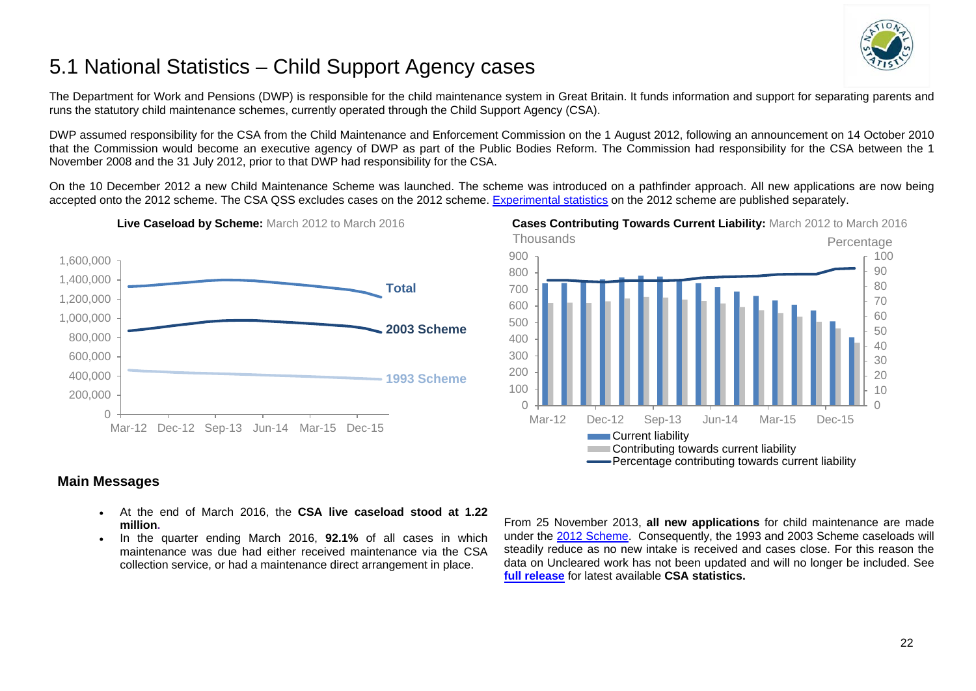

# <span id="page-21-0"></span>5.1 National Statistics – Child Support Agency cases

The Department for Work and Pensions (DWP) is responsible for the child maintenance system in Great Britain. It funds information and support for separating parents and runs the statutory child maintenance schemes, currently operated through the Child Support Agency (CSA).

DWP assumed responsibility for the CSA from the Child Maintenance and Enforcement Commission on the 1 August 2012, following an announcement on 14 October 2010 that the Commission would become an executive agency of DWP as part of the Public Bodies Reform. The Commission had responsibility for the CSA between the 1 November 2008 and the 31 July 2012, prior to that DWP had responsibility for the CSA.

On the 10 December 2012 a new Child Maintenance Scheme was launched. The scheme was introduced on a pathfinder approach. All new applications are now being accepted onto the 2012 scheme. The CSA QSS excludes cases on the 2012 scheme. [Experimental statistics](https://www.gov.uk/government/collections/statistics-on-the-2012-statutory-child-maintenance-scheme) on the 2012 scheme are published separately.



#### **Live Caseload by Scheme:** March 2012 to March 2016 **Cases Contributing Towards Current Liability:** March 2012 to March 2016



### **Main Messages**

- At the end of March 2016, the **CSA live caseload stood at 1.22 million.**
- In the quarter ending March 2016, **92.1%** of all cases in which maintenance was due had either received maintenance via the CSA collection service, or had a maintenance direct arrangement in place.

From 25 November 2013, **all new applications** for child maintenance are made under the [2012 Scheme.](https://www.gov.uk/government/collections/statistics-on-the-2012-statutory-child-maintenance-scheme) Consequently, the 1993 and 2003 Scheme caseloads will steadily reduce as no new intake is received and cases close. For this reason the data on Uncleared work has not been updated and will no longer be included. See **[full release](https://www.gov.uk/government/organisations/department-for-work-pensions/series/child-support-agency-quarterly-summary-statistics--2)** for latest available **CSA statistics.**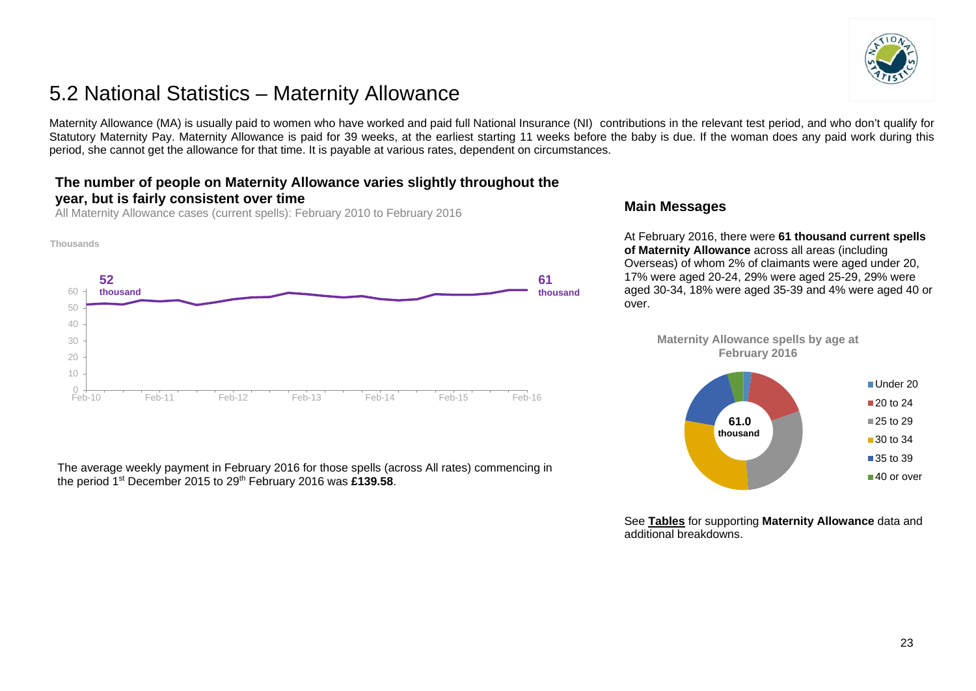

# <span id="page-22-0"></span>5.2 National Statistics – Maternity Allowance

Maternity Allowance (MA) is usually paid to women who have worked and paid full National Insurance (NI) contributions in the relevant test period, and who don't qualify for Statutory Maternity Pay. Maternity Allowance is paid for 39 weeks, at the earliest starting 11 weeks before the baby is due. If the woman does any paid work during this period, she cannot get the allowance for that time. It is payable at various rates, dependent on circumstances.

# **The number of people on Maternity Allowance varies slightly throughout the year, but is fairly consistent over time**

All Maternity Allowance cases (current spells): February 2010 to February 2016



The average weekly payment in February 2016 for those spells (across All rates) commencing in the period 1<sup>st</sup> December 2015 to 29<sup>th</sup> February 2016 was £139.58.

## **Main Messages**

At February 2016, there were **61 thousand current spells of Maternity Allowance** across all areas (including Overseas) of whom 2% of claimants were aged under 20, 17% were aged 20-24, 29% were aged 25-29, 29% were aged 30-34, 18% were aged 35-39 and 4% were aged 40 or over.

**Maternity Allowance spells by age at February 2016**



See **[Tables](https://www.gov.uk/government/collections/maternity-allowance-quarterly-statistics)** for supporting **Maternity Allowance** data and additional breakdowns.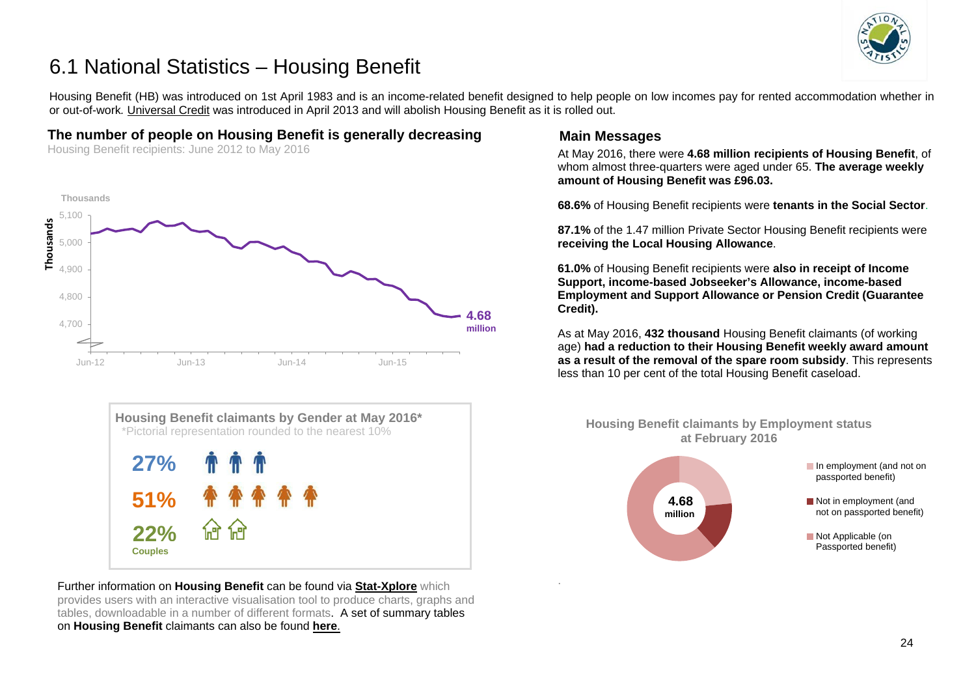

# <span id="page-23-0"></span>6.1 National Statistics – Housing Benefit

Housing Benefit (HB) was introduced on 1st April 1983 and is an income-related benefit designed to help people on low incomes pay for rented accommodation whether in or out-of-work*.* [Universal Credit](https://www.gov.uk/government/collections/universal-credit-statistics) was introduced in April 2013 and will abolish Housing Benefit as it is rolled out.

### **The number of people on Housing Benefit is generally decreasing**

Housing Benefit recipients: June 2012 to May 2016





Further information on **Housing Benefit** can be found via **[Stat-Xplore](https://stat-xplore.dwp.gov.uk/)** which provides users with an interactive visualisation tool to produce charts, graphs and tables, downloadable in a number of different formats. A set of summary tables on **Housing Benefit** claimants can also be found **[here](https://www.gov.uk/government/collections/housing-benefit-and-council-tax-benefit-caseload-statistics--2)**.

### **Main Messages**

.

At May 2016, there were **4.68 million recipients of Housing Benefit**, of whom almost three-quarters were aged under 65. **The average weekly amount of Housing Benefit was £96.03.**

**68.6%** of Housing Benefit recipients were **tenants in the Social Sector**.

**87.1%** of the 1.47 million Private Sector Housing Benefit recipients were **receiving the Local Housing Allowance**.

**61.0%** of Housing Benefit recipients were **also in receipt of Income Support, income-based Jobseeker's Allowance, income-based Employment and Support Allowance or Pension Credit (Guarantee Credit).**

As at May 2016, **432 thousand** Housing Benefit claimants (of working age) **had a reduction to their Housing Benefit weekly award amount as a result of the removal of the spare room subsidy**. This represents less than 10 per cent of the total Housing Benefit caseload.

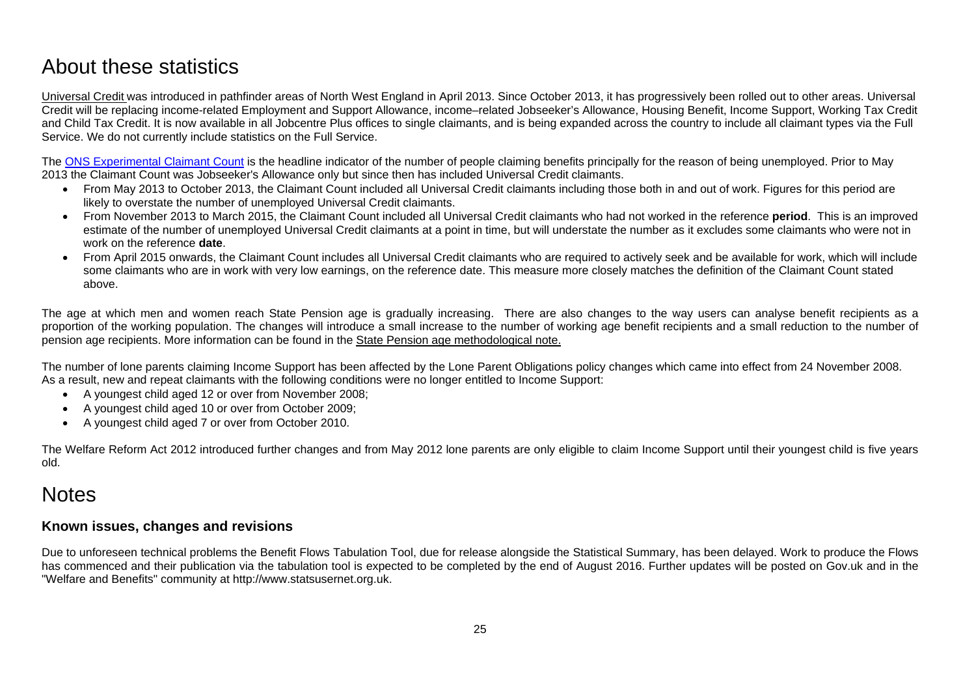# <span id="page-24-0"></span>About these statistics

<span id="page-24-1"></span>[Universal Credit](https://www.gov.uk/government/collections/universal-credit-statistics) was introduced in pathfinder areas of North West England in April 2013. Since October 2013, it has progressively been rolled out to other areas. Universal Credit will be replacing income-related Employment and Support Allowance, income–related Jobseeker's Allowance, Housing Benefit, Income Support, Working Tax Credit and Child Tax Credit. It is now available in all Jobcentre Plus offices to single claimants, and is being expanded across the country to include all claimant types via the Full Service. We do not currently include statistics on the Full Service.

The ONS [Experimental Claimant Count](https://www.nomisweb.co.uk/query/select/getdatasetbytheme.asp?theme=72) is the headline indicator of the number of people claiming benefits principally for the reason of being unemployed. Prior to May 2013 the Claimant Count was Jobseeker's Allowance only but since then has included Universal Credit claimants.

- From May 2013 to October 2013, the Claimant Count included all Universal Credit claimants including those both in and out of work. Figures for this period are likely to overstate the number of unemployed Universal Credit claimants.
- From November 2013 to March 2015, the Claimant Count included all Universal Credit claimants who had not worked in the reference **period**. This is an improved estimate of the number of unemployed Universal Credit claimants at a point in time, but will understate the number as it excludes some claimants who were not in work on the reference **date**.
- From April 2015 onwards, the Claimant Count includes all Universal Credit claimants who are required to actively seek and be available for work, which will include some claimants who are in work with very low earnings, on the reference date. This measure more closely matches the definition of the Claimant Count stated above.

The age at which men and women reach State Pension age is gradually increasing. There are also changes to the way users can analyse benefit recipients as a proportion of the working population. The changes will introduce a small increase to the number of working age benefit recipients and a small reduction to the number of pension age recipients. More information can be found in the [State Pension age methodological note.](https://www.gov.uk/government/uploads/system/uploads/attachment_data/file/181343/spa-timetable.pdf)

The number of lone parents claiming Income Support has been affected by the Lone Parent Obligations policy changes which came into effect from 24 November 2008. As a result, new and repeat claimants with the following conditions were no longer entitled to Income Support:

- A youngest child aged 12 or over from November 2008;
- A youngest child aged 10 or over from October 2009;
- A youngest child aged 7 or over from October 2010.

The Welfare Reform Act 2012 introduced further changes and from May 2012 lone parents are only eligible to claim Income Support until their youngest child is five years old.

# **Notes**

### **Known issues, changes and revisions**

Due to unforeseen technical problems the Benefit Flows Tabulation Tool, due for release alongside the Statistical Summary, has been delayed. Work to produce the Flows has commenced and their publication via the tabulation tool is expected to be completed by the end of August 2016. Further updates will be posted on Gov.uk and in the "Welfare and Benefits" community at http://www.statsusernet.org.uk.